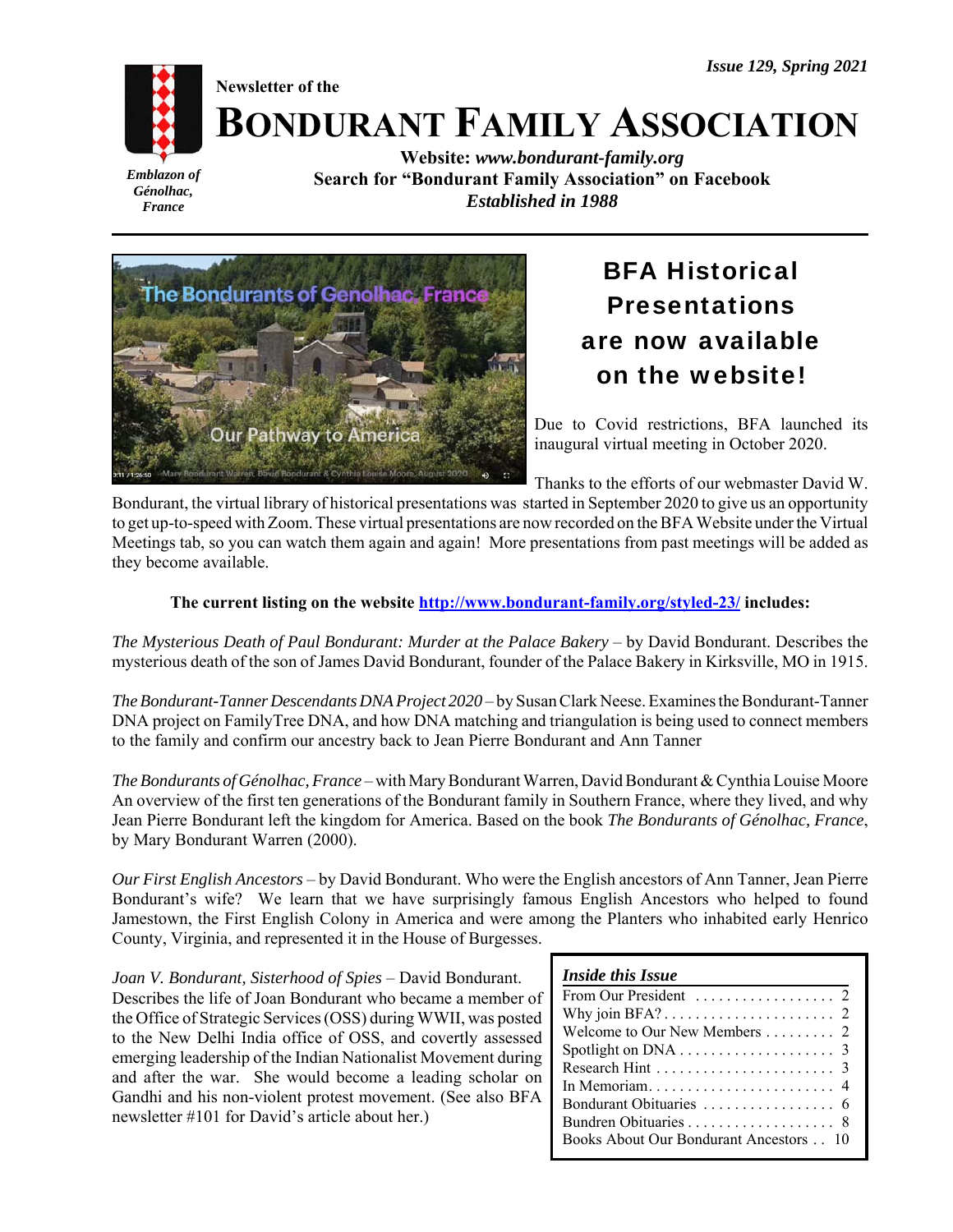# **BONDURANT FAMILY ASSOCIATION**

*Emblazon of Génolhac, France*

**Website:** *www.bondurant-family.org* **Search for "Bondurant Family Association" on Facebook** *Established in 1988*



**Newsletter of the**

# BFA Historical Presentations are now available on the website!

Due to Covid restrictions, BFA launched its inaugural virtual meeting in October 2020.

Thanks to the efforts of our webmaster David W.

Bondurant, the virtual library of historical presentations was started in September 2020 to give us an opportunity to get up-to-speed with Zoom. These virtual presentations are now recorded on the BFA Website under the Virtual Meetings tab, so you can watch them again and again! More presentations from past meetings will be added as they become available.

# **The current listing on the website http://www.bondurant-family.org/styled-23/ includes:**

*The Mysterious Death of Paul Bondurant: Murder at the Palace Bakery* – by David Bondurant. Describes the mysterious death of the son of James David Bondurant, founder of the Palace Bakery in Kirksville, MO in 1915.

*The Bondurant-Tanner Descendants DNA Project 2020* – by Susan Clark Neese. Examines the Bondurant-Tanner DNA project on FamilyTree DNA, and how DNA matching and triangulation is being used to connect members to the family and confirm our ancestry back to Jean Pierre Bondurant and Ann Tanner

*The Bondurants of Génolhac, France* – with Mary Bondurant Warren, David Bondurant & Cynthia Louise Moore An overview of the first ten generations of the Bondurant family in Southern France, where they lived, and why Jean Pierre Bondurant left the kingdom for America. Based on the book *The Bondurants of Génolhac, France*, by Mary Bondurant Warren (2000).

*Our First English Ancestors* – by David Bondurant. Who were the English ancestors of Ann Tanner, Jean Pierre Bondurant's wife? We learn that we have surprisingly famous English Ancestors who helped to found Jamestown, the First English Colony in America and were among the Planters who inhabited early Henrico County, Virginia, and represented it in the House of Burgesses.

*Joan V. Bondurant, Sisterhood of Spies* – David Bondurant. Describes the life of Joan Bondurant who became a member of the Office of Strategic Services (OSS) during WWII, was posted to the New Delhi India office of OSS, and covertly assessed emerging leadership of the Indian Nationalist Movement during and after the war. She would become a leading scholar on Gandhi and his non-violent protest movement. (See also BFA newsletter #101 for David's article about her.)

| From Our President $\ldots \ldots \ldots \ldots$ 2      |  |
|---------------------------------------------------------|--|
|                                                         |  |
| Welcome to Our New Members $\dots \dots$ 2              |  |
| Spotlight on DNA $\ldots \ldots \ldots \ldots \ldots$ 3 |  |
|                                                         |  |
|                                                         |  |
|                                                         |  |
|                                                         |  |
| Books About Our Bondurant Ancestors 10                  |  |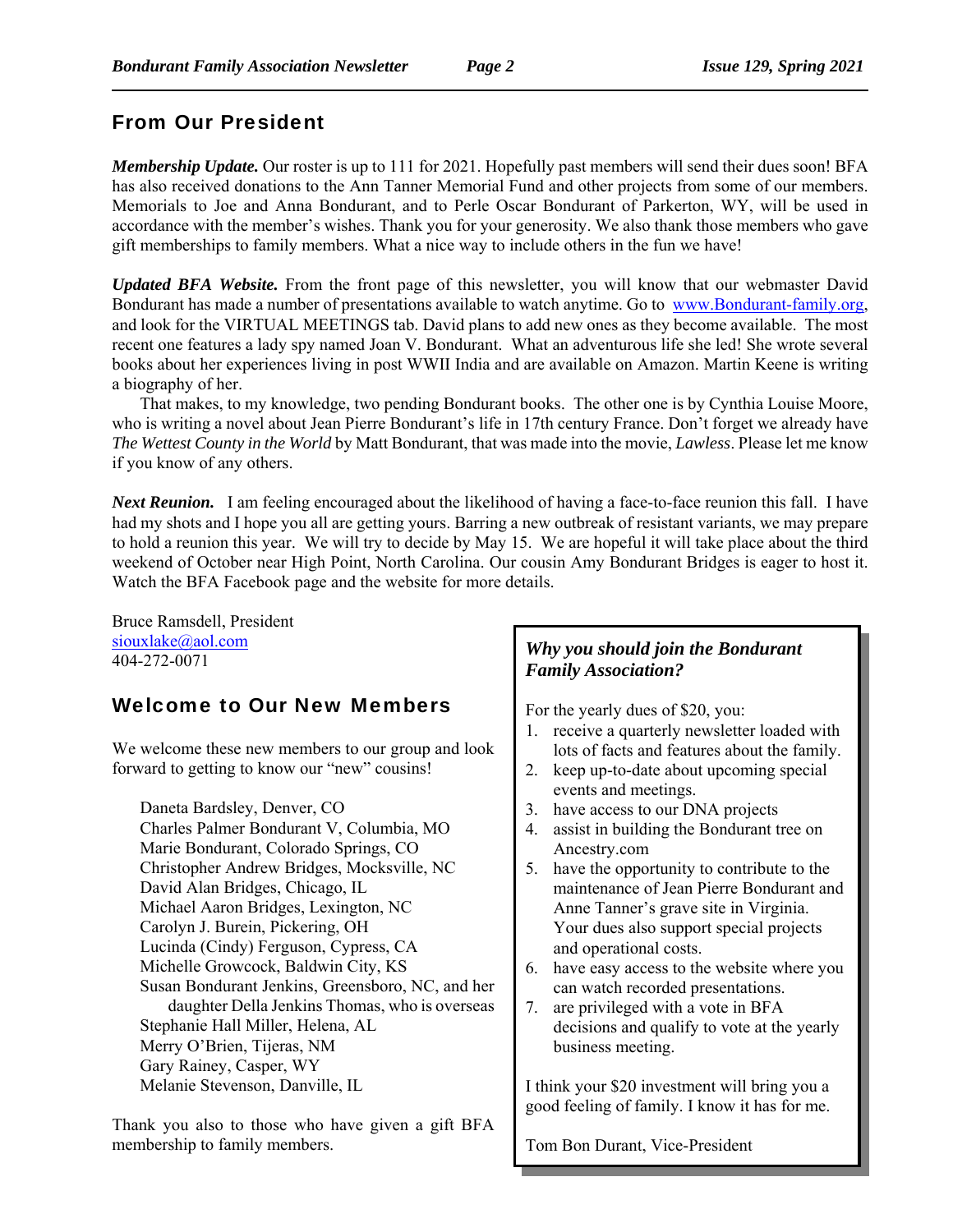# From Our President

*Membership Update.* Our roster is up to 111 for 2021. Hopefully past members will send their dues soon! BFA has also received donations to the Ann Tanner Memorial Fund and other projects from some of our members. Memorials to Joe and Anna Bondurant, and to Perle Oscar Bondurant of Parkerton, WY, will be used in accordance with the member's wishes. Thank you for your generosity. We also thank those members who gave gift memberships to family members. What a nice way to include others in the fun we have!

*Updated BFA Website.* From the front page of this newsletter, you will know that our webmaster David Bondurant has made a number of presentations available to watch anytime. Go to www.Bondurant-family.org, and look for the VIRTUAL MEETINGS tab. David plans to add new ones as they become available. The most recent one features a lady spy named Joan V. Bondurant. What an adventurous life she led! She wrote several books about her experiences living in post WWII India and are available on Amazon. Martin Keene is writing a biography of her.

That makes, to my knowledge, two pending Bondurant books. The other one is by Cynthia Louise Moore, who is writing a novel about Jean Pierre Bondurant's life in 17th century France. Don't forget we already have *The Wettest County in the World* by Matt Bondurant, that was made into the movie, *Lawless*. Please let me know if you know of any others.

*Next Reunion.* I am feeling encouraged about the likelihood of having a face-to-face reunion this fall. I have had my shots and I hope you all are getting yours. Barring a new outbreak of resistant variants, we may prepare to hold a reunion this year. We will try to decide by May 15. We are hopeful it will take place about the third weekend of October near High Point, North Carolina. Our cousin Amy Bondurant Bridges is eager to host it. Watch the BFA Facebook page and the website for more details.

Bruce Ramsdell, President siouxlake@aol.com 404-272-0071

# Welcome to Our New Members

We welcome these new members to our group and look forward to getting to know our "new" cousins!

Daneta Bardsley, Denver, CO Charles Palmer Bondurant V, Columbia, MO Marie Bondurant, Colorado Springs, CO Christopher Andrew Bridges, Mocksville, NC David Alan Bridges, Chicago, IL Michael Aaron Bridges, Lexington, NC Carolyn J. Burein, Pickering, OH Lucinda (Cindy) Ferguson, Cypress, CA Michelle Growcock, Baldwin City, KS Susan Bondurant Jenkins, Greensboro, NC, and her daughter Della Jenkins Thomas, who is overseas Stephanie Hall Miller, Helena, AL Merry O'Brien, Tijeras, NM Gary Rainey, Casper, WY Melanie Stevenson, Danville, IL

Thank you also to those who have given a gift BFA membership to family members.

# *Why you should join the Bondurant Family Association?*

For the yearly dues of \$20, you:

- 1. receive a quarterly newsletter loaded with lots of facts and features about the family.
- 2. keep up-to-date about upcoming special events and meetings.
- 3. have access to our DNA projects
- 4. assist in building the Bondurant tree on Ancestry.com
- 5. have the opportunity to contribute to the maintenance of Jean Pierre Bondurant and Anne Tanner's grave site in Virginia. Your dues also support special projects and operational costs.
- 6. have easy access to the website where you can watch recorded presentations.
- 7. are privileged with a vote in BFA decisions and qualify to vote at the yearly business meeting.

I think your \$20 investment will bring you a good feeling of family. I know it has for me.

Tom Bon Durant, Vice-President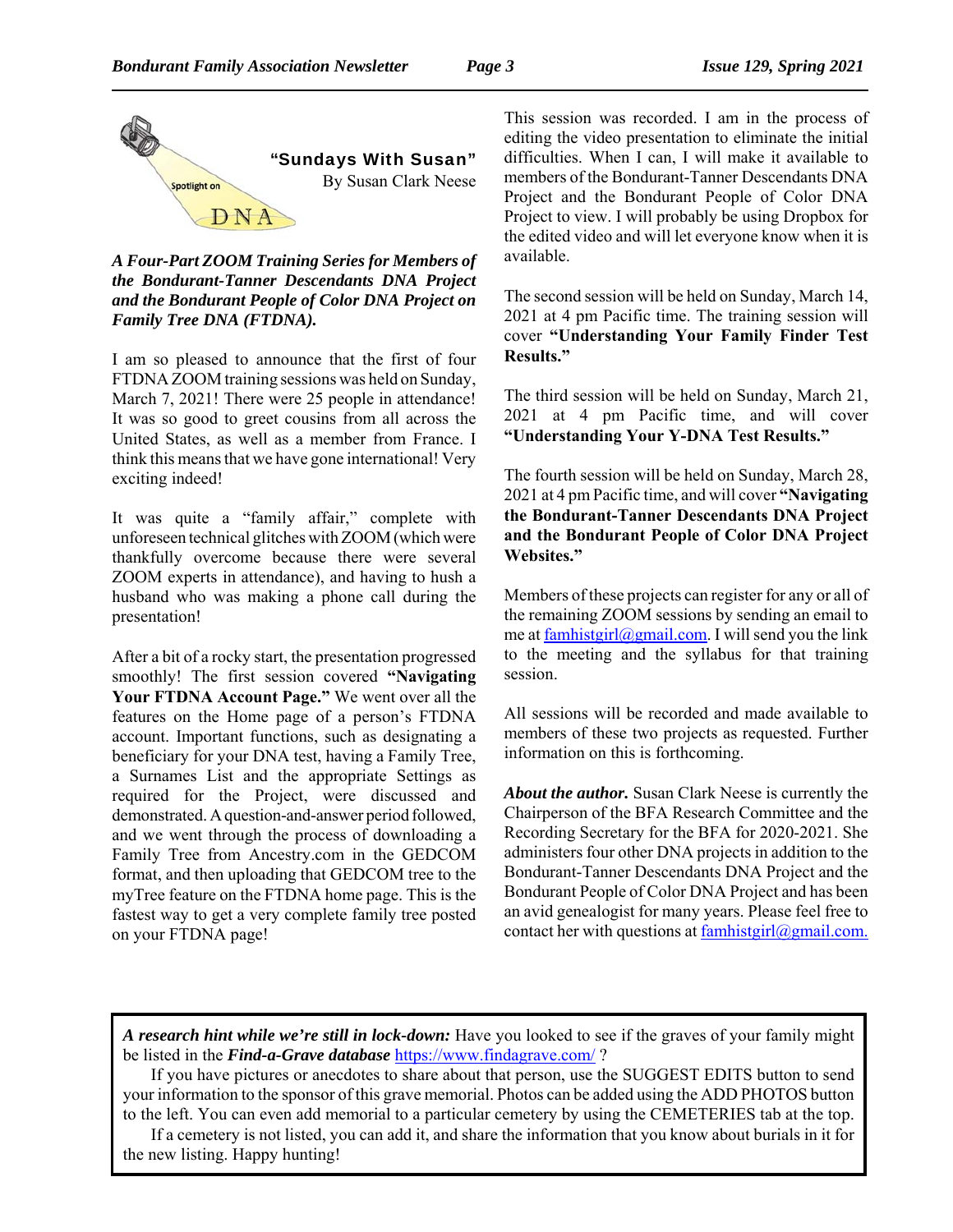

*A Four-Part ZOOM Training Series for Members of the Bondurant-Tanner Descendants DNA Project and the Bondurant People of Color DNA Project on Family Tree DNA (FTDNA).*

I am so pleased to announce that the first of four FTDNA ZOOM training sessions was held on Sunday, March 7, 2021! There were 25 people in attendance! It was so good to greet cousins from all across the United States, as well as a member from France. I think this means that we have gone international! Very exciting indeed!

It was quite a "family affair," complete with unforeseen technical glitches with ZOOM (which were thankfully overcome because there were several ZOOM experts in attendance), and having to hush a husband who was making a phone call during the presentation!

After a bit of a rocky start, the presentation progressed smoothly! The first session covered **"Navigating Your FTDNA Account Page."** We went over all the features on the Home page of a person's FTDNA account. Important functions, such as designating a beneficiary for your DNA test, having a Family Tree, a Surnames List and the appropriate Settings as required for the Project, were discussed and demonstrated. A question-and-answer period followed, and we went through the process of downloading a Family Tree from Ancestry.com in the GEDCOM format, and then uploading that GEDCOM tree to the myTree feature on the FTDNA home page. This is the fastest way to get a very complete family tree posted on your FTDNA page!

This session was recorded. I am in the process of editing the video presentation to eliminate the initial difficulties. When I can, I will make it available to members of the Bondurant-Tanner Descendants DNA Project and the Bondurant People of Color DNA Project to view. I will probably be using Dropbox for the edited video and will let everyone know when it is available.

The second session will be held on Sunday, March 14, 2021 at 4 pm Pacific time. The training session will cover **"Understanding Your Family Finder Test Results."** 

The third session will be held on Sunday, March 21, 2021 at 4 pm Pacific time, and will cover **"Understanding Your Y-DNA Test Results."**

The fourth session will be held on Sunday, March 28, 2021 at 4 pm Pacific time, and will cover **"Navigating the Bondurant-Tanner Descendants DNA Project and the Bondurant People of Color DNA Project Websites."** 

Members of these projects can register for any or all of the remaining ZOOM sessions by sending an email to me at famhistgirl@gmail.com. I will send you the link to the meeting and the syllabus for that training session.

All sessions will be recorded and made available to members of these two projects as requested. Further information on this is forthcoming.

*About the author.* Susan Clark Neese is currently the Chairperson of the BFA Research Committee and the Recording Secretary for the BFA for 2020-2021. She administers four other DNA projects in addition to the Bondurant-Tanner Descendants DNA Project and the Bondurant People of Color DNA Project and has been an avid genealogist for many years. Please feel free to contact her with questions at  $famhistgirl@gmail.com.$ </u>

*A research hint while we're still in lock-down:* Have you looked to see if the graves of your family might be listed in the *Find-a-Grave database* https://www.findagrave.com/ ?

If you have pictures or anecdotes to share about that person, use the SUGGEST EDITS button to send your information to the sponsor of this grave memorial. Photos can be added using the ADD PHOTOS button to the left. You can even add memorial to a particular cemetery by using the CEMETERIES tab at the top.

If a cemetery is not listed, you can add it, and share the information that you know about burials in it for the new listing. Happy hunting!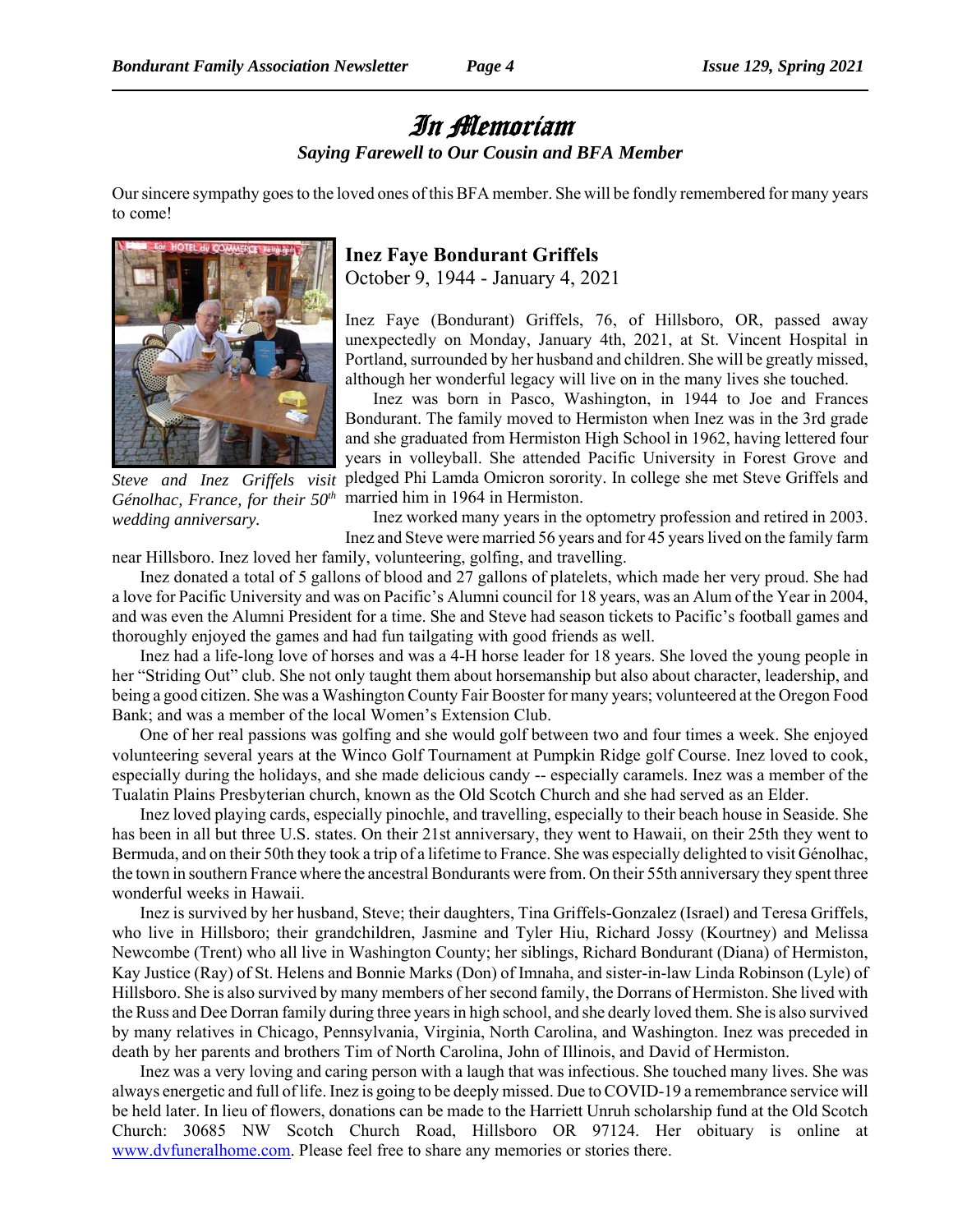# In Memoriam

*Saying Farewell to Our Cousin and BFA Member*

Our sincere sympathy goes to the loved ones of this BFA member. She will be fondly remembered for many years to come!



*Steve and Inez Griffels visit Génolhac, France, for their 50th wedding anniversary.*

# **Inez Faye Bondurant Griffels**

October 9, 1944 - January 4, 2021

Inez Faye (Bondurant) Griffels, 76, of Hillsboro, OR, passed away unexpectedly on Monday, January 4th, 2021, at St. Vincent Hospital in Portland, surrounded by her husband and children. She will be greatly missed, although her wonderful legacy will live on in the many lives she touched.

Inez was born in Pasco, Washington, in 1944 to Joe and Frances Bondurant. The family moved to Hermiston when Inez was in the 3rd grade and she graduated from Hermiston High School in 1962, having lettered four years in volleyball. She attended Pacific University in Forest Grove and pledged Phi Lamda Omicron sorority. In college she met Steve Griffels and married him in 1964 in Hermiston.

Inez worked many years in the optometry profession and retired in 2003. Inez and Steve were married 56 years and for 45 years lived on the family farm

near Hillsboro. Inez loved her family, volunteering, golfing, and travelling.

Inez donated a total of 5 gallons of blood and 27 gallons of platelets, which made her very proud. She had a love for Pacific University and was on Pacific's Alumni council for 18 years, was an Alum of the Year in 2004, and was even the Alumni President for a time. She and Steve had season tickets to Pacific's football games and thoroughly enjoyed the games and had fun tailgating with good friends as well.

Inez had a life-long love of horses and was a 4-H horse leader for 18 years. She loved the young people in her "Striding Out" club. She not only taught them about horsemanship but also about character, leadership, and being a good citizen. She was a Washington County Fair Booster for many years; volunteered at the Oregon Food Bank; and was a member of the local Women's Extension Club.

One of her real passions was golfing and she would golf between two and four times a week. She enjoyed volunteering several years at the Winco Golf Tournament at Pumpkin Ridge golf Course. Inez loved to cook, especially during the holidays, and she made delicious candy -- especially caramels. Inez was a member of the Tualatin Plains Presbyterian church, known as the Old Scotch Church and she had served as an Elder.

Inez loved playing cards, especially pinochle, and travelling, especially to their beach house in Seaside. She has been in all but three U.S. states. On their 21st anniversary, they went to Hawaii, on their 25th they went to Bermuda, and on their 50th they took a trip of a lifetime to France. She was especially delighted to visit Génolhac, the town in southern France where the ancestral Bondurants were from. On their 55th anniversary they spent three wonderful weeks in Hawaii.

Inez is survived by her husband, Steve; their daughters, Tina Griffels-Gonzalez (Israel) and Teresa Griffels, who live in Hillsboro; their grandchildren, Jasmine and Tyler Hiu, Richard Jossy (Kourtney) and Melissa Newcombe (Trent) who all live in Washington County; her siblings, Richard Bondurant (Diana) of Hermiston, Kay Justice (Ray) of St. Helens and Bonnie Marks (Don) of Imnaha, and sister-in-law Linda Robinson (Lyle) of Hillsboro. She is also survived by many members of her second family, the Dorrans of Hermiston. She lived with the Russ and Dee Dorran family during three years in high school, and she dearly loved them. She is also survived by many relatives in Chicago, Pennsylvania, Virginia, North Carolina, and Washington. Inez was preceded in death by her parents and brothers Tim of North Carolina, John of Illinois, and David of Hermiston.

Inez was a very loving and caring person with a laugh that was infectious. She touched many lives. She was always energetic and full of life. Inez is going to be deeply missed. Due to COVID-19 a remembrance service will be held later. In lieu of flowers, donations can be made to the Harriett Unruh scholarship fund at the Old Scotch Church: 30685 NW Scotch Church Road, Hillsboro OR 97124. Her obituary is online at www.dvfuneralhome.com. Please feel free to share any memories or stories there.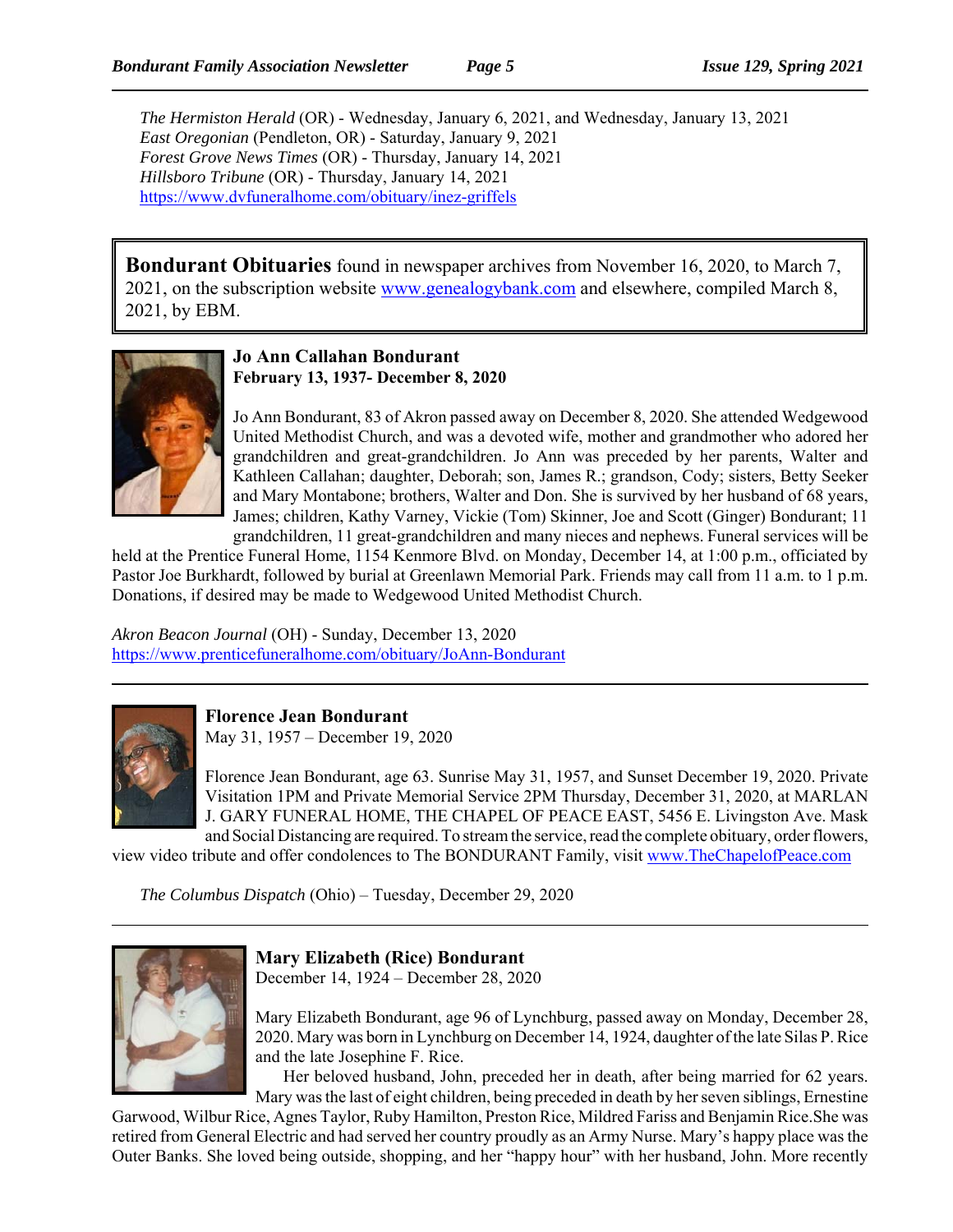*The Hermiston Herald* (OR) - Wednesday, January 6, 2021, and Wednesday, January 13, 2021 *East Oregonian* (Pendleton, OR) - Saturday, January 9, 2021 *Forest Grove News Times* (OR) - Thursday, January 14, 2021 *Hillsboro Tribune* (OR) - Thursday, January 14, 2021 https://www.dvfuneralhome.com/obituary/inez-griffels

**Bondurant Obituaries** found in newspaper archives from November 16, 2020, to March 7, 2021, on the subscription website www.genealogybank.com and elsewhere, compiled March 8, 2021, by EBM.



#### **Jo Ann Callahan Bondurant February 13, 1937- December 8, 2020**

Jo Ann Bondurant, 83 of Akron passed away on December 8, 2020. She attended Wedgewood United Methodist Church, and was a devoted wife, mother and grandmother who adored her grandchildren and great-grandchildren. Jo Ann was preceded by her parents, Walter and Kathleen Callahan; daughter, Deborah; son, James R.; grandson, Cody; sisters, Betty Seeker and Mary Montabone; brothers, Walter and Don. She is survived by her husband of 68 years, James; children, Kathy Varney, Vickie (Tom) Skinner, Joe and Scott (Ginger) Bondurant; 11 grandchildren, 11 great-grandchildren and many nieces and nephews. Funeral services will be

held at the Prentice Funeral Home, 1154 Kenmore Blvd. on Monday, December 14, at 1:00 p.m., officiated by Pastor Joe Burkhardt, followed by burial at Greenlawn Memorial Park. Friends may call from 11 a.m. to 1 p.m. Donations, if desired may be made to Wedgewood United Methodist Church.

*Akron Beacon Journal* (OH) - Sunday, December 13, 2020 https://www.prenticefuneralhome.com/obituary/JoAnn-Bondurant



**Florence Jean Bondurant**

May 31, 1957 – December 19, 2020

Florence Jean Bondurant, age 63. Sunrise May 31, 1957, and Sunset December 19, 2020. Private Visitation 1PM and Private Memorial Service 2PM Thursday, December 31, 2020, at MARLAN J. GARY FUNERAL HOME, THE CHAPEL OF PEACE EAST, 5456 E. Livingston Ave. Mask and Social Distancing are required. To stream the service, read the complete obituary, order flowers,

view video tribute and offer condolences to The BONDURANT Family, visit www.TheChapelofPeace.com

*The Columbus Dispatch* (Ohio) – Tuesday, December 29, 2020



#### **Mary Elizabeth (Rice) Bondurant**

December 14, 1924 – December 28, 2020

Mary Elizabeth Bondurant, age 96 of Lynchburg, passed away on Monday, December 28, 2020. Mary was born in Lynchburg on December 14, 1924, daughter of the late Silas P. Rice and the late Josephine F. Rice.

Her beloved husband, John, preceded her in death, after being married for 62 years. Mary was the last of eight children, being preceded in death by her seven siblings, Ernestine

Garwood, Wilbur Rice, Agnes Taylor, Ruby Hamilton, Preston Rice, Mildred Fariss and Benjamin Rice.She was retired from General Electric and had served her country proudly as an Army Nurse. Mary's happy place was the Outer Banks. She loved being outside, shopping, and her "happy hour" with her husband, John. More recently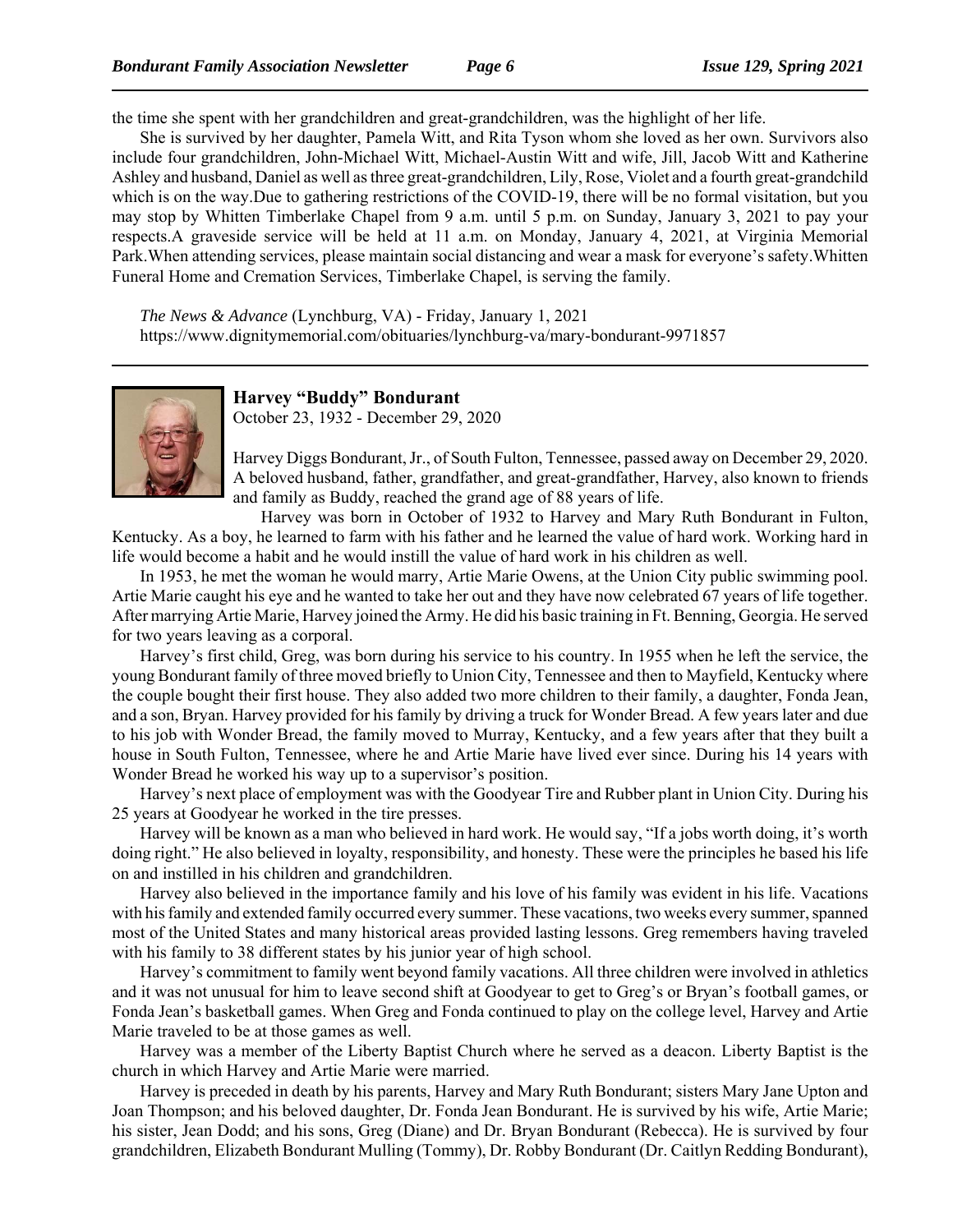the time she spent with her grandchildren and great-grandchildren, was the highlight of her life.

She is survived by her daughter, Pamela Witt, and Rita Tyson whom she loved as her own. Survivors also include four grandchildren, John-Michael Witt, Michael-Austin Witt and wife, Jill, Jacob Witt and Katherine Ashley and husband, Daniel as well as three great-grandchildren, Lily, Rose, Violet and a fourth great-grandchild which is on the way.Due to gathering restrictions of the COVID-19, there will be no formal visitation, but you may stop by Whitten Timberlake Chapel from 9 a.m. until 5 p.m. on Sunday, January 3, 2021 to pay your respects.A graveside service will be held at 11 a.m. on Monday, January 4, 2021, at Virginia Memorial Park.When attending services, please maintain social distancing and wear a mask for everyone's safety.Whitten Funeral Home and Cremation Services, Timberlake Chapel, is serving the family.

*The News & Advance* (Lynchburg, VA) - Friday, January 1, 2021 https://www.dignitymemorial.com/obituaries/lynchburg-va/mary-bondurant-9971857



# **Harvey "Buddy" Bondurant**

October 23, 1932 - December 29, 2020

Harvey Diggs Bondurant, Jr., of South Fulton, Tennessee, passed away on December 29, 2020. A beloved husband, father, grandfather, and great-grandfather, Harvey, also known to friends and family as Buddy, reached the grand age of 88 years of life.

Harvey was born in October of 1932 to Harvey and Mary Ruth Bondurant in Fulton, Kentucky. As a boy, he learned to farm with his father and he learned the value of hard work. Working hard in life would become a habit and he would instill the value of hard work in his children as well.

In 1953, he met the woman he would marry, Artie Marie Owens, at the Union City public swimming pool. Artie Marie caught his eye and he wanted to take her out and they have now celebrated 67 years of life together. After marrying Artie Marie, Harvey joined the Army. He did his basic training in Ft. Benning, Georgia. He served for two years leaving as a corporal.

Harvey's first child, Greg, was born during his service to his country. In 1955 when he left the service, the young Bondurant family of three moved briefly to Union City, Tennessee and then to Mayfield, Kentucky where the couple bought their first house. They also added two more children to their family, a daughter, Fonda Jean, and a son, Bryan. Harvey provided for his family by driving a truck for Wonder Bread. A few years later and due to his job with Wonder Bread, the family moved to Murray, Kentucky, and a few years after that they built a house in South Fulton, Tennessee, where he and Artie Marie have lived ever since. During his 14 years with Wonder Bread he worked his way up to a supervisor's position.

Harvey's next place of employment was with the Goodyear Tire and Rubber plant in Union City. During his 25 years at Goodyear he worked in the tire presses.

Harvey will be known as a man who believed in hard work. He would say, "If a jobs worth doing, it's worth doing right." He also believed in loyalty, responsibility, and honesty. These were the principles he based his life on and instilled in his children and grandchildren.

Harvey also believed in the importance family and his love of his family was evident in his life. Vacations with his family and extended family occurred every summer. These vacations, two weeks every summer, spanned most of the United States and many historical areas provided lasting lessons. Greg remembers having traveled with his family to 38 different states by his junior year of high school.

Harvey's commitment to family went beyond family vacations. All three children were involved in athletics and it was not unusual for him to leave second shift at Goodyear to get to Greg's or Bryan's football games, or Fonda Jean's basketball games. When Greg and Fonda continued to play on the college level, Harvey and Artie Marie traveled to be at those games as well.

Harvey was a member of the Liberty Baptist Church where he served as a deacon. Liberty Baptist is the church in which Harvey and Artie Marie were married.

Harvey is preceded in death by his parents, Harvey and Mary Ruth Bondurant; sisters Mary Jane Upton and Joan Thompson; and his beloved daughter, Dr. Fonda Jean Bondurant. He is survived by his wife, Artie Marie; his sister, Jean Dodd; and his sons, Greg (Diane) and Dr. Bryan Bondurant (Rebecca). He is survived by four grandchildren, Elizabeth Bondurant Mulling (Tommy), Dr. Robby Bondurant (Dr. Caitlyn Redding Bondurant),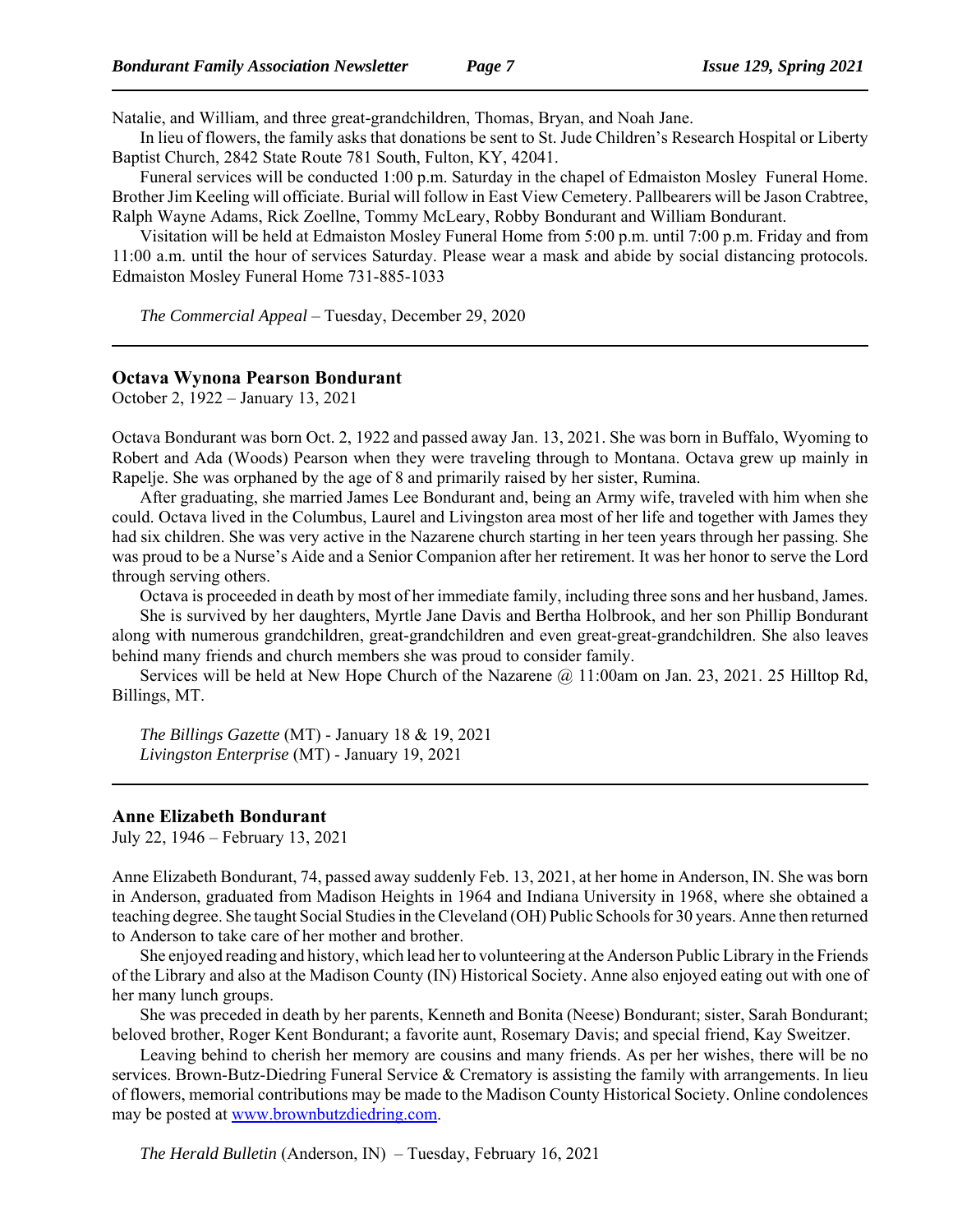Natalie, and William, and three great-grandchildren, Thomas, Bryan, and Noah Jane.

In lieu of flowers, the family asks that donations be sent to St. Jude Children's Research Hospital or Liberty Baptist Church, 2842 State Route 781 South, Fulton, KY, 42041.

Funeral services will be conducted 1:00 p.m. Saturday in the chapel of Edmaiston Mosley Funeral Home. Brother Jim Keeling will officiate. Burial will follow in East View Cemetery. Pallbearers will be Jason Crabtree, Ralph Wayne Adams, Rick Zoellne, Tommy McLeary, Robby Bondurant and William Bondurant.

Visitation will be held at Edmaiston Mosley Funeral Home from 5:00 p.m. until 7:00 p.m. Friday and from 11:00 a.m. until the hour of services Saturday. Please wear a mask and abide by social distancing protocols. Edmaiston Mosley Funeral Home 731-885-1033

*The Commercial Appeal* – Tuesday, December 29, 2020

#### **Octava Wynona Pearson Bondurant**

October 2, 1922 – January 13, 2021

Octava Bondurant was born Oct. 2, 1922 and passed away Jan. 13, 2021. She was born in Buffalo, Wyoming to Robert and Ada (Woods) Pearson when they were traveling through to Montana. Octava grew up mainly in Rapelje. She was orphaned by the age of 8 and primarily raised by her sister, Rumina.

After graduating, she married James Lee Bondurant and, being an Army wife, traveled with him when she could. Octava lived in the Columbus, Laurel and Livingston area most of her life and together with James they had six children. She was very active in the Nazarene church starting in her teen years through her passing. She was proud to be a Nurse's Aide and a Senior Companion after her retirement. It was her honor to serve the Lord through serving others.

Octava is proceeded in death by most of her immediate family, including three sons and her husband, James.

She is survived by her daughters, Myrtle Jane Davis and Bertha Holbrook, and her son Phillip Bondurant along with numerous grandchildren, great-grandchildren and even great-great-grandchildren. She also leaves behind many friends and church members she was proud to consider family.

Services will be held at New Hope Church of the Nazarene @ 11:00am on Jan. 23, 2021. 25 Hilltop Rd, Billings, MT.

*The Billings Gazette* (MT) - January 18 & 19, 2021 *Livingston Enterprise* (MT) - January 19, 2021

#### **Anne Elizabeth Bondurant**

July 22, 1946 – February 13, 2021

Anne Elizabeth Bondurant, 74, passed away suddenly Feb. 13, 2021, at her home in Anderson, IN. She was born in Anderson, graduated from Madison Heights in 1964 and Indiana University in 1968, where she obtained a teaching degree. She taught Social Studies in the Cleveland (OH) Public Schools for 30 years. Anne then returned to Anderson to take care of her mother and brother.

She enjoyed reading and history, which lead her to volunteering at the Anderson Public Library in the Friends of the Library and also at the Madison County (IN) Historical Society. Anne also enjoyed eating out with one of her many lunch groups.

She was preceded in death by her parents, Kenneth and Bonita (Neese) Bondurant; sister, Sarah Bondurant; beloved brother, Roger Kent Bondurant; a favorite aunt, Rosemary Davis; and special friend, Kay Sweitzer.

Leaving behind to cherish her memory are cousins and many friends. As per her wishes, there will be no services. Brown-Butz-Diedring Funeral Service & Crematory is assisting the family with arrangements. In lieu of flowers, memorial contributions may be made to the Madison County Historical Society. Online condolences may be posted at www.brownbutzdiedring.com.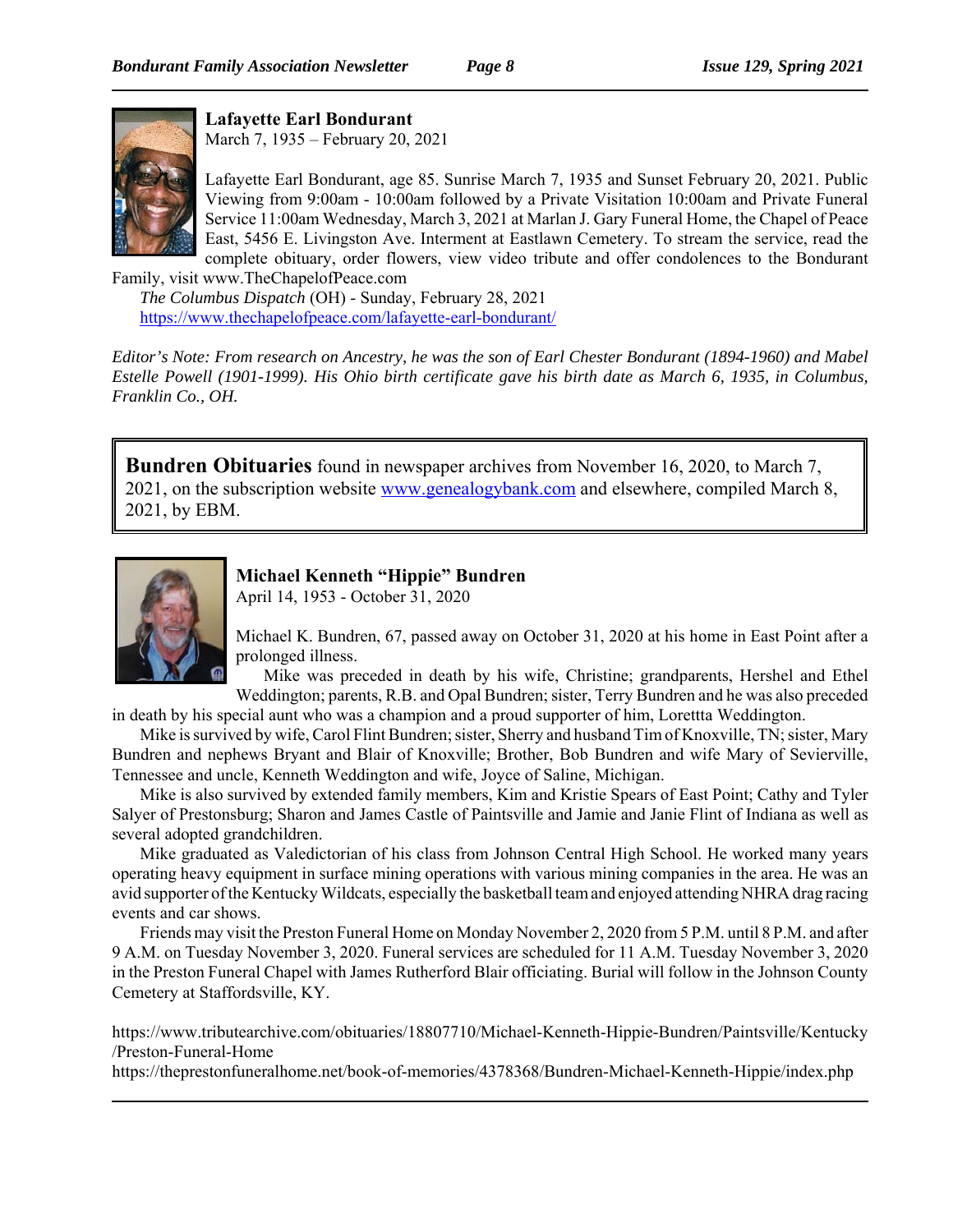

**Lafayette Earl Bondurant**

March 7, 1935 – February 20, 2021

Lafayette Earl Bondurant, age 85. Sunrise March 7, 1935 and Sunset February 20, 2021. Public Viewing from 9:00am - 10:00am followed by a Private Visitation 10:00am and Private Funeral Service 11:00am Wednesday, March 3, 2021 at Marlan J. Gary Funeral Home, the Chapel of Peace East, 5456 E. Livingston Ave. Interment at Eastlawn Cemetery. To stream the service, read the complete obituary, order flowers, view video tribute and offer condolences to the Bondurant

Family, visit www.TheChapelofPeace.com *The Columbus Dispatch* (OH) - Sunday, February 28, 2021 https://www.thechapelofpeace.com/lafayette-earl-bondurant/

*Editor's Note: From research on Ancestry, he was the son of Earl Chester Bondurant (1894-1960) and Mabel Estelle Powell (1901-1999). His Ohio birth certificate gave his birth date as March 6, 1935, in Columbus, Franklin Co., OH.*

**Bundren Obituaries** found in newspaper archives from November 16, 2020, to March 7, 2021, on the subscription website www.genealogybank.com and elsewhere, compiled March 8, 2021, by EBM.



# **Michael Kenneth "Hippie" Bundren**

April 14, 1953 - October 31, 2020

Michael K. Bundren, 67, passed away on October 31, 2020 at his home in East Point after a prolonged illness.

Mike was preceded in death by his wife, Christine; grandparents, Hershel and Ethel Weddington; parents, R.B. and Opal Bundren; sister, Terry Bundren and he was also preceded

in death by his special aunt who was a champion and a proud supporter of him, Lorettta Weddington. Mike is survived by wife, Carol Flint Bundren; sister, Sherry and husband Tim of Knoxville, TN; sister, Mary

Bundren and nephews Bryant and Blair of Knoxville; Brother, Bob Bundren and wife Mary of Sevierville, Tennessee and uncle, Kenneth Weddington and wife, Joyce of Saline, Michigan.

Mike is also survived by extended family members, Kim and Kristie Spears of East Point; Cathy and Tyler Salyer of Prestonsburg; Sharon and James Castle of Paintsville and Jamie and Janie Flint of Indiana as well as several adopted grandchildren.

Mike graduated as Valedictorian of his class from Johnson Central High School. He worked many years operating heavy equipment in surface mining operations with various mining companies in the area. He was an avid supporter of the Kentucky Wildcats, especially the basketball team and enjoyed attending NHRA drag racing events and car shows.

Friends may visit the Preston Funeral Home on Monday November 2, 2020 from 5 P.M. until 8 P.M. and after 9 A.M. on Tuesday November 3, 2020. Funeral services are scheduled for 11 A.M. Tuesday November 3, 2020 in the Preston Funeral Chapel with James Rutherford Blair officiating. Burial will follow in the Johnson County Cemetery at Staffordsville, KY.

https://www.tributearchive.com/obituaries/18807710/Michael-Kenneth-Hippie-Bundren/Paintsville/Kentucky /Preston-Funeral-Home

https://theprestonfuneralhome.net/book-of-memories/4378368/Bundren-Michael-Kenneth-Hippie/index.php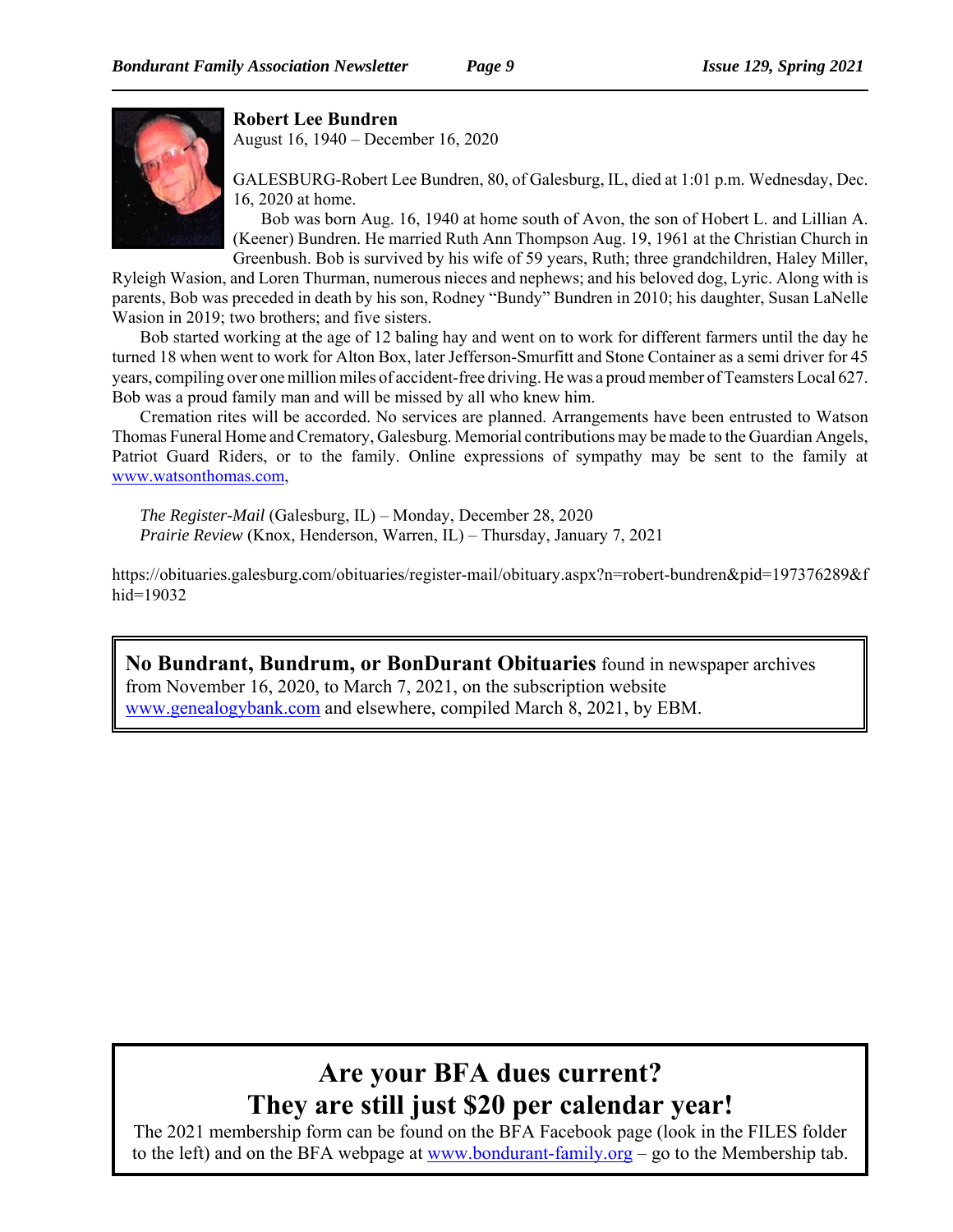

## **Robert Lee Bundren**

August 16, 1940 – December 16, 2020

GALESBURG-Robert Lee Bundren, 80, of Galesburg, IL, died at 1:01 p.m. Wednesday, Dec. 16, 2020 at home.

Bob was born Aug. 16, 1940 at home south of Avon, the son of Hobert L. and Lillian A. (Keener) Bundren. He married Ruth Ann Thompson Aug. 19, 1961 at the Christian Church in Greenbush. Bob is survived by his wife of 59 years, Ruth; three grandchildren, Haley Miller,

Ryleigh Wasion, and Loren Thurman, numerous nieces and nephews; and his beloved dog, Lyric. Along with is parents, Bob was preceded in death by his son, Rodney "Bundy" Bundren in 2010; his daughter, Susan LaNelle Wasion in 2019; two brothers; and five sisters.

Bob started working at the age of 12 baling hay and went on to work for different farmers until the day he turned 18 when went to work for Alton Box, later Jefferson-Smurfitt and Stone Container as a semi driver for 45 years, compiling over one million miles of accident-free driving. He was a proud member of Teamsters Local 627. Bob was a proud family man and will be missed by all who knew him.

Cremation rites will be accorded. No services are planned. Arrangements have been entrusted to Watson Thomas Funeral Home and Crematory, Galesburg. Memorial contributions may be made to the Guardian Angels, Patriot Guard Riders, or to the family. Online expressions of sympathy may be sent to the family at www.watsonthomas.com,

*The Register-Mail* (Galesburg, IL) – Monday, December 28, 2020 *Prairie Review* (Knox, Henderson, Warren, IL) – Thursday, January 7, 2021

https://obituaries.galesburg.com/obituaries/register-mail/obituary.aspx?n=robert-bundren&pid=197376289&f hid=19032

**No Bundrant, Bundrum, or BonDurant Obituaries** found in newspaper archives from November 16, 2020, to March 7, 2021, on the subscription website www.genealogybank.com and elsewhere, compiled March 8, 2021, by EBM.

# **Are your BFA dues current? They are still just \$20 per calendar year!**

The 2021 membership form can be found on the BFA Facebook page (look in the FILES folder to the left) and on the BFA webpage at www.bondurant-family.org – go to the Membership tab.